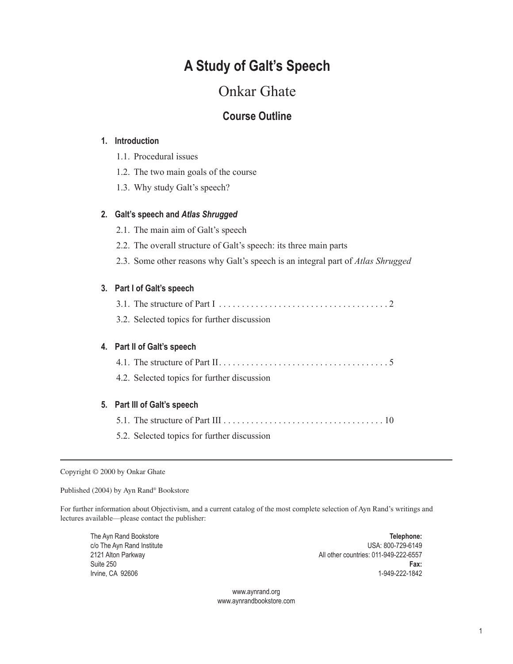# **A Study of Galt's Speech**

# Onkar Ghate

# **Course Outline**

### **1. Introduction**

- 1.1. Procedural issues
- 1.2. The two main goals of the course
- 1.3. Why study Galt's speech?

## **2. Galt's speech and** *Atlas Shrugged*

- 2.1. The main aim of Galt's speech
- 2.2. The overall structure of Galt's speech: its three main parts
- 2.3. Some other reasons why Galt's speech is an integral part of *Atlas Shrugged*

## **3. Part I of Galt's speech**

- 3.1. The structure of Part  $1, \ldots, \ldots, \ldots, \ldots, \ldots, \ldots, \ldots, 2$
- 3.2. Selected topics for further discussion

# **4. Part II of Galt's speech**

- 4.1. The structure of Part II . 5
- 4.2. Selected topics for further discussion

#### **5. Part III of Galt's speech**

- 5.1. The structure of Part III  $\ldots$   $\ldots$   $\ldots$   $\ldots$   $\ldots$   $\ldots$   $\ldots$   $\ldots$   $\ldots$   $\ldots$   $\ldots$   $\ldots$   $\ldots$
- 5.2. Selected topics for further discussion

#### Copyright © 2000 by Onkar Ghate

Published (2004) by Ayn Rand® Bookstore

For further information about Objectivism, and a current catalog of the most complete selection of Ayn Rand's writings and lectures available—please contact the publisher:

The Ayn Rand Bookstore **Telephone:** c/o The Ayn Rand Institute USA: 800-729-6149 2121 Alton Parkway All other countries: 011-949-222-6557 Suite 250 **Fax:**  Irvine, CA 92606 1-949-222-1842

> www.aynrand.org www.aynrandbookstore.com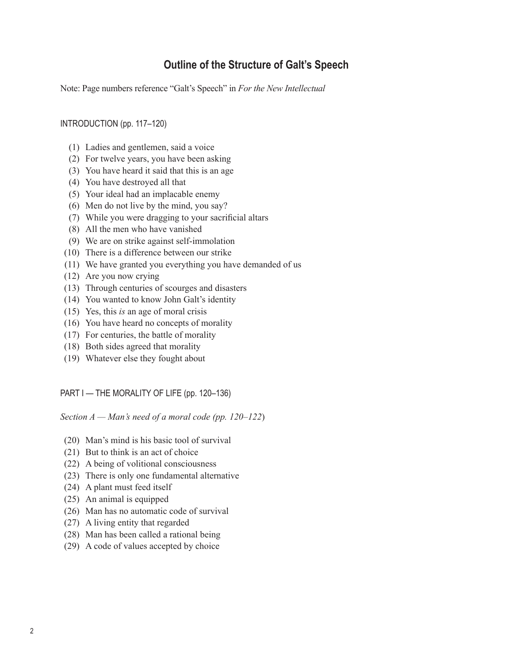# **Outline of the Structure of Galt's Speech**

Note: Page numbers reference "Galt's Speech" in *For the New Intellectual*

INTRODUCTION (pp. 117–120)

- (1) Ladies and gentlemen, said a voice
- (2) For twelve years, you have been asking
- (3) You have heard it said that this is an age
- (4) You have destroyed all that
- (5) Your ideal had an implacable enemy
- (6) Men do not live by the mind, you say?
- (7) While you were dragging to your sacrificial altars
- (8) All the men who have vanished
- (9) We are on strike against self-immolation
- (10) There is a difference between our strike
- (11) We have granted you everything you have demanded of us
- (12) Are you now crying
- (13) Through centuries of scourges and disasters
- (14) You wanted to know John Galt's identity
- (15) Yes, this *is* an age of moral crisis
- (16) You have heard no concepts of morality
- (17) For centuries, the battle of morality
- (18) Both sides agreed that morality
- (19) Whatever else they fought about

PART I — THE MORALITY OF LIFE (pp. 120-136)

*Section A — Man's need of a moral code (pp. 120–122*)

- (20) Man's mind is his basic tool of survival
- (21) But to think is an act of choice
- (22) A being of volitional consciousness
- (23) There is only one fundamental alternative
- (24) A plant must feed itself
- (25) An animal is equipped
- (26) Man has no automatic code of survival
- (27) A living entity that regarded
- (28) Man has been called a rational being
- (29) A code of values accepted by choice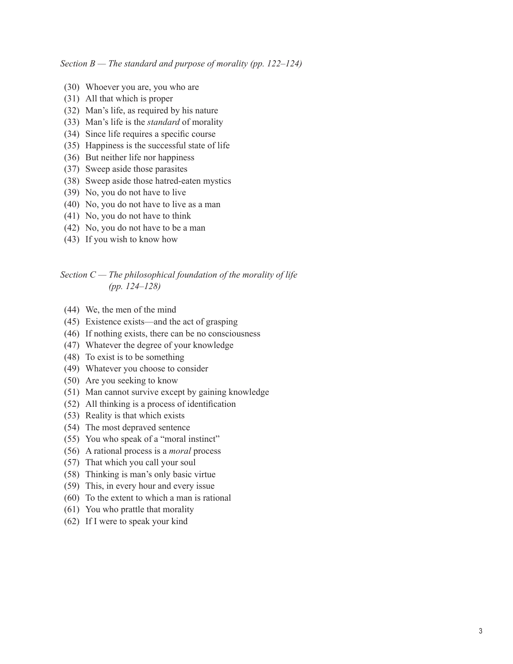*Section B — The standard and purpose of morality (pp. 122–124)*

- (30) Whoever you are, you who are
- (31) All that which is proper
- (32) Man's life, as required by his nature
- (33) Man's life is the *standard* of morality
- (34) Since life requires a specific course
- (35) Happiness is the successful state of life
- (36) But neither life nor happiness
- (37) Sweep aside those parasites
- (38) Sweep aside those hatred-eaten mystics
- (39) No, you do not have to live
- (40) No, you do not have to live as a man
- (41) No, you do not have to think
- (42) No, you do not have to be a man
- (43) If you wish to know how

### *Section C — The philosophical foundation of the morality of life (pp. 124–128)*

- (44) We, the men of the mind
- (45) Existence exists—and the act of grasping
- (46) If nothing exists, there can be no consciousness
- (47) Whatever the degree of your knowledge
- (48) To exist is to be something
- (49) Whatever you choose to consider
- (50) Are you seeking to know
- (51) Man cannot survive except by gaining knowledge
- (52) All thinking is a process of identification
- (53) Reality is that which exists
- (54) The most depraved sentence
- (55) You who speak of a "moral instinct"
- (56) A rational process is a *moral* process
- (57) That which you call your soul
- (58) Thinking is man's only basic virtue
- (59) This, in every hour and every issue
- (60) To the extent to which a man is rational
- (61) You who prattle that morality
- (62) If I were to speak your kind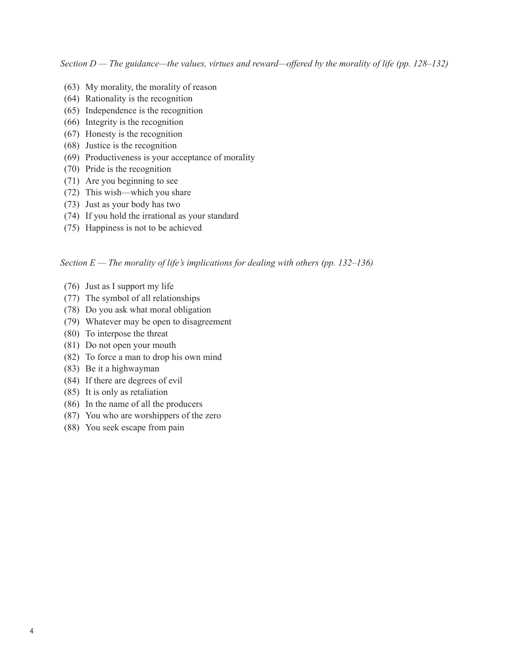*Section D — The guidance—the values, virtues and reward—offered by the morality of life (pp. 128–132)*

- (63) My morality, the morality of reason
- (64) Rationality is the recognition
- (65) Independence is the recognition
- (66) Integrity is the recognition
- (67) Honesty is the recognition
- (68) Justice is the recognition
- (69) Productiveness is your acceptance of morality
- (70) Pride is the recognition
- (71) Are you beginning to see
- (72) This wish—which you share
- (73) Just as your body has two
- (74) If you hold the irrational as your standard
- (75) Happiness is not to be achieved

# *Section E — The morality of life's implications for dealing with others (pp. 132–136)*

- (76) Just as I support my life
- (77) The symbol of all relationships
- (78) Do you ask what moral obligation
- (79) Whatever may be open to disagreement
- (80) To interpose the threat
- (81) Do not open your mouth
- (82) To force a man to drop his own mind
- (83) Be it a highwayman
- (84) If there are degrees of evil
- (85) It is only as retaliation
- (86) In the name of all the producers
- (87) You who are worshippers of the zero
- (88) You seek escape from pain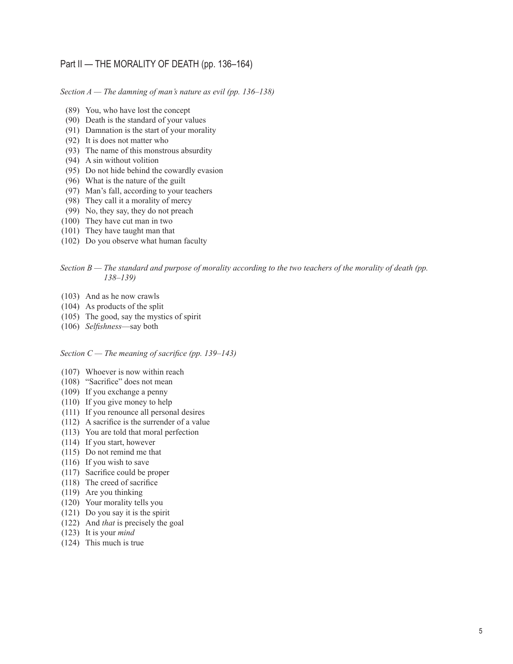# Part II — THE MORALITY OF DEATH (pp. 136–164)

*Section A — The damning of man's nature as evil (pp. 136–138)*

- (89) You, who have lost the concept
- (90) Death is the standard of your values
- (91) Damnation is the start of your morality
- (92) It is does not matter who
- (93) The name of this monstrous absurdity
- (94) A sin without volition
- (95) Do not hide behind the cowardly evasion
- (96) What is the nature of the guilt
- (97) Man's fall, according to your teachers
- (98) They call it a morality of mercy
- (99) No, they say, they do not preach
- (100) They have cut man in two
- (101) They have taught man that
- (102) Do you observe what human faculty

#### *Section B — The standard and purpose of morality according to the two teachers of the morality of death (pp. 138–139)*

- (103) And as he now crawls
- (104) As products of the split
- (105) The good, say the mystics of spirit
- (106) *Selfishness*—say both

#### *Section C — The meaning of sacrifice (pp. 139–143)*

- (107) Whoever is now within reach
- (108) "Sacrifice" does not mean
- (109) If you exchange a penny
- (110) If you give money to help
- (111) If you renounce all personal desires
- $(112)$  A sacrifice is the surrender of a value
- (113) You are told that moral perfection
- (114) If you start, however
- (115) Do not remind me that
- (116) If you wish to save
- (117) Sacrifice could be proper
- (118) The creed of sacrifice
- (119) Are you thinking
- (120) Your morality tells you
- (121) Do you say it is the spirit
- (122) And *that* is precisely the goal
- (123) It is your *mind*
- (124) This much is true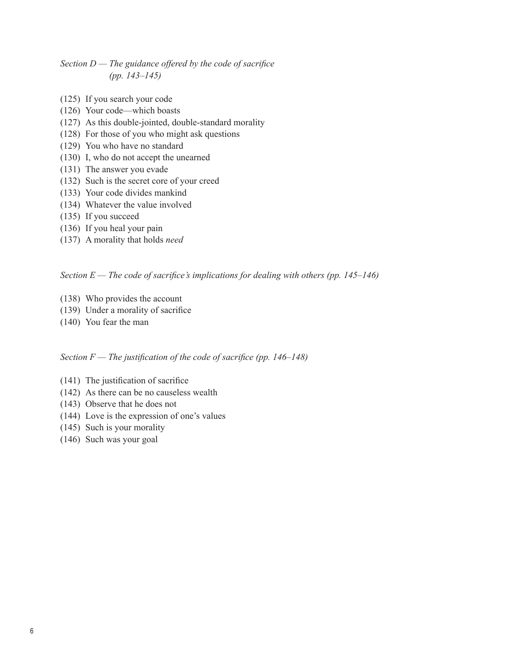# *Section D — The guidance offered by the code of sacrifice (pp. 143–145)*

- (125) If you search your code
- (126) Your code—which boasts
- (127) As this double-jointed, double-standard morality
- (128) For those of you who might ask questions
- (129) You who have no standard
- (130) I, who do not accept the unearned
- (131) The answer you evade
- (132) Such is the secret core of your creed
- (133) Your code divides mankind
- (134) Whatever the value involved
- (135) If you succeed
- (136) If you heal your pain
- (137) A morality that holds *need*

#### *Section E — The code of sacrifice's implications for dealing with others (pp. 145–146)*

- (138) Who provides the account
- (139) Under a morality of sacrifice
- (140) You fear the man

#### *Section F — The justification of the code of sacrifice (pp. 146–148)*

- $(141)$  The justification of sacrifice
- (142) As there can be no causeless wealth
- (143) Observe that he does not
- (144) Love is the expression of one's values
- (145) Such is your morality
- (146) Such was your goal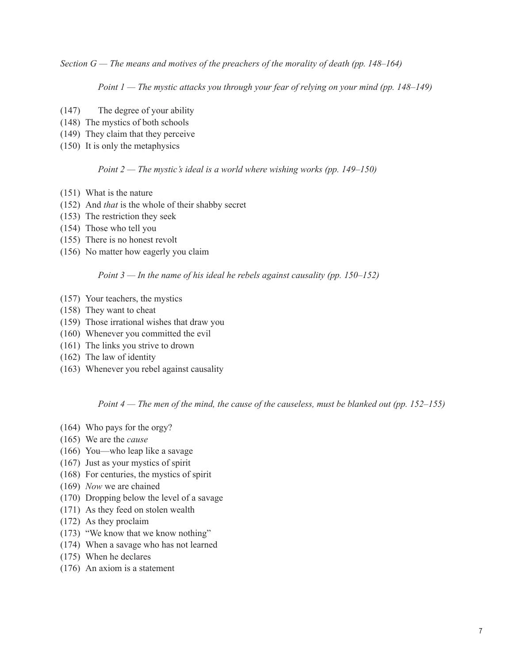*Section G — The means and motives of the preachers of the morality of death (pp. 148–164)*

 *Point 1 — The mystic attacks you through your fear of relying on your mind (pp. 148–149)*

- (147) The degree of your ability
- (148) The mystics of both schools
- (149) They claim that they perceive
- (150) It is only the metaphysics

#### *Point 2 — The mystic's ideal is a world where wishing works (pp. 149–150)*

- (151) What is the nature
- (152) And *that* is the whole of their shabby secret
- (153) The restriction they seek
- (154) Those who tell you
- (155) There is no honest revolt
- (156) No matter how eagerly you claim

#### *Point 3 — In the name of his ideal he rebels against causality (pp. 150–152)*

- (157) Your teachers, the mystics
- (158) They want to cheat
- (159) Those irrational wishes that draw you
- (160) Whenever you committed the evil
- (161) The links you strive to drown
- (162) The law of identity
- (163) Whenever you rebel against causality

*Point 4 — The men of the mind, the cause of the causeless, must be blanked out (pp. 152–155)*

- (164) Who pays for the orgy?
- (165) We are the *cause*
- (166) You—who leap like a savage
- (167) Just as your mystics of spirit
- (168) For centuries, the mystics of spirit
- (169) *Now* we are chained
- (170) Dropping below the level of a savage
- (171) As they feed on stolen wealth
- (172) As they proclaim
- (173) "We know that we know nothing"
- (174) When a savage who has not learned
- (175) When he declares
- (176) An axiom is a statement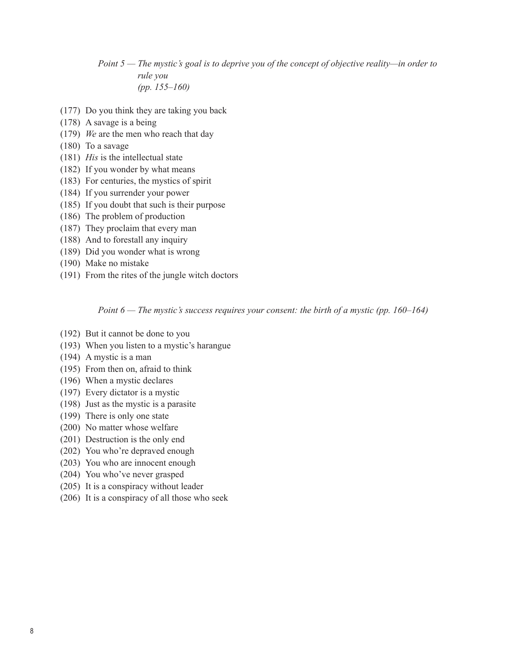*Point 5 — The mystic's goal is to deprive you of the concept of objective reality—in order to rule you (pp. 155–160)*

- (177) Do you think they are taking you back
- (178) A savage is a being
- (179) *We* are the men who reach that day
- (180) To a savage
- (181) *His* is the intellectual state
- (182) If you wonder by what means
- (183) For centuries, the mystics of spirit
- (184) If you surrender your power
- (185) If you doubt that such is their purpose
- (186) The problem of production
- (187) They proclaim that every man
- (188) And to forestall any inquiry
- (189) Did you wonder what is wrong
- (190) Make no mistake
- (191) From the rites of the jungle witch doctors

 *Point 6 — The mystic's success requires your consent: the birth of a mystic (pp. 160–164)*

- (192) But it cannot be done to you
- (193) When you listen to a mystic's harangue
- (194) A mystic is a man
- (195) From then on, afraid to think
- (196) When a mystic declares
- (197) Every dictator is a mystic
- (198) Just as the mystic is a parasite
- (199) There is only one state
- (200) No matter whose welfare
- (201) Destruction is the only end
- (202) You who're depraved enough
- (203) You who are innocent enough
- (204) You who've never grasped
- (205) It is a conspiracy without leader
- (206) It is a conspiracy of all those who seek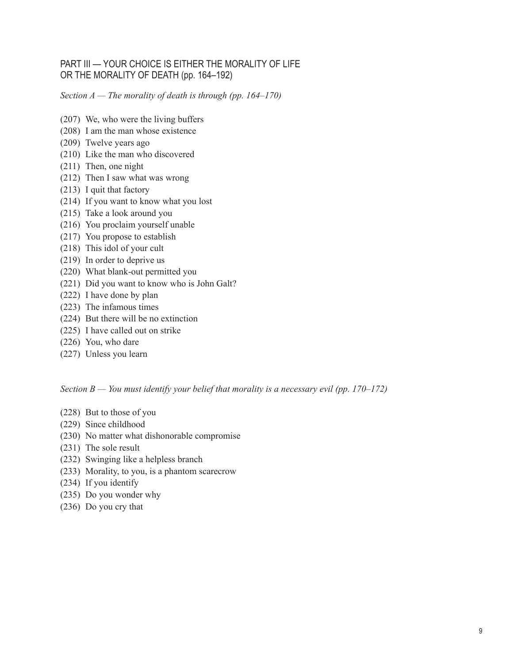# PART III — YOUR CHOICE IS EITHER THE MORALITY OF LIFE OR THE MORALITY OF DEATH (pp. 164–192)

*Section A — The morality of death is through (pp. 164–170)*

- (207) We, who were the living buffers
- (208) I am the man whose existence
- (209) Twelve years ago
- (210) Like the man who discovered
- (211) Then, one night
- (212) Then I saw what was wrong
- (213) I quit that factory
- (214) If you want to know what you lost
- (215) Take a look around you
- (216) You proclaim yourself unable
- (217) You propose to establish
- (218) This idol of your cult
- (219) In order to deprive us
- (220) What blank-out permitted you
- (221) Did you want to know who is John Galt?
- (222) I have done by plan
- (223) The infamous times
- (224) But there will be no extinction
- (225) I have called out on strike
- (226) You, who dare
- (227) Unless you learn

*Section B — You must identify your belief that morality is a necessary evil (pp. 170–172)*

- (228) But to those of you
- (229) Since childhood
- (230) No matter what dishonorable compromise
- (231) The sole result
- (232) Swinging like a helpless branch
- (233) Morality, to you, is a phantom scarecrow
- (234) If you identify
- (235) Do you wonder why
- (236) Do you cry that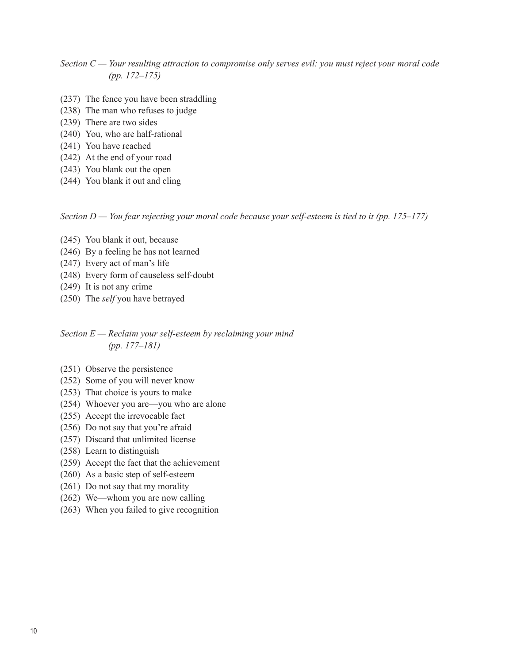*Section C — Your resulting attraction to compromise only serves evil: you must reject your moral code (pp. 172–175)*

- (237) The fence you have been straddling
- (238) The man who refuses to judge
- (239) There are two sides
- (240) You, who are half-rational
- (241) You have reached
- (242) At the end of your road
- (243) You blank out the open
- (244) You blank it out and cling

*Section D — You fear rejecting your moral code because your self-esteem is tied to it (pp. 175–177)*

- (245) You blank it out, because
- (246) By a feeling he has not learned
- (247) Every act of man's life
- (248) Every form of causeless self-doubt
- (249) It is not any crime
- (250) The *self* you have betrayed

### *Section E — Reclaim your self-esteem by reclaiming your mind (pp. 177–181)*

- (251) Observe the persistence
- (252) Some of you will never know
- (253) That choice is yours to make
- (254) Whoever you are—you who are alone
- (255) Accept the irrevocable fact
- (256) Do not say that you're afraid
- (257) Discard that unlimited license
- (258) Learn to distinguish
- (259) Accept the fact that the achievement
- (260) As a basic step of self-esteem
- (261) Do not say that my morality
- (262) We—whom you are now calling
- (263) When you failed to give recognition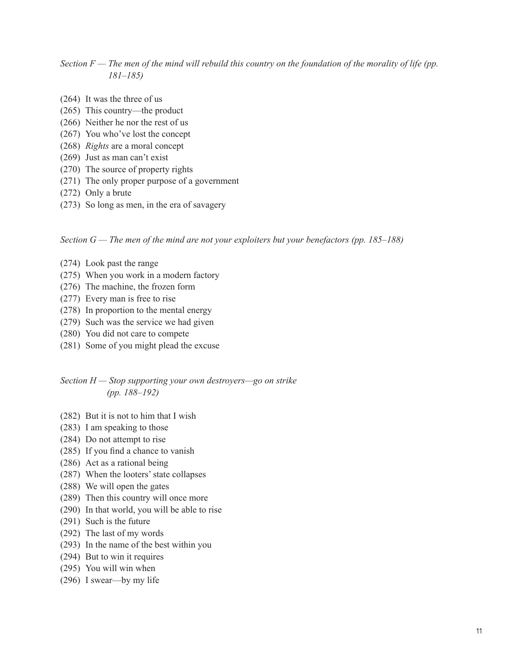# *Section F — The men of the mind will rebuild this country on the foundation of the morality of life (pp. 181–185)*

- (264) It was the three of us
- (265) This country—the product
- (266) Neither he nor the rest of us
- (267) You who've lost the concept
- (268) *Rights* are a moral concept
- (269) Just as man can't exist
- (270) The source of property rights
- (271) The only proper purpose of a government
- (272) Only a brute
- (273) So long as men, in the era of savagery

#### *Section G — The men of the mind are not your exploiters but your benefactors (pp. 185–188)*

- (274) Look past the range
- (275) When you work in a modern factory
- (276) The machine, the frozen form
- (277) Every man is free to rise
- (278) In proportion to the mental energy
- (279) Such was the service we had given
- (280) You did not care to compete
- (281) Some of you might plead the excuse

# *Section H — Stop supporting your own destroyers—go on strike (pp. 188–192)*

- (282) But it is not to him that I wish
- (283) I am speaking to those
- (284) Do not attempt to rise
- (285) If you find a chance to vanish
- (286) Act as a rational being
- (287) When the looters' state collapses
- (288) We will open the gates
- (289) Then this country will once more
- (290) In that world, you will be able to rise
- (291) Such is the future
- (292) The last of my words
- (293) In the name of the best within you
- (294) But to win it requires
- (295) You will win when
- (296) I swear—by my life